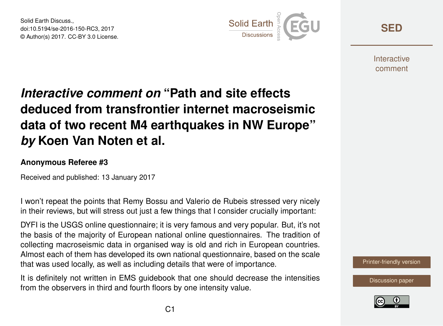Solid Earth Discuss., doi:10.5194/se-2016-150-RC3, 2017 © Author(s) 2017. CC-BY 3.0 License.



**[SED](http://www.solid-earth-discuss.net/)**

**Interactive** comment

## *Interactive comment on* **"Path and site effects deduced from transfrontier internet macroseismic data of two recent M4 earthquakes in NW Europe"** *by* **Koen Van Noten et al.**

## **Anonymous Referee #3**

Received and published: 13 January 2017

I won't repeat the points that Remy Bossu and Valerio de Rubeis stressed very nicely in their reviews, but will stress out just a few things that I consider crucially important:

DYFI is the USGS online questionnaire; it is very famous and very popular. But, it's not the basis of the majority of European national online questionnaires. The tradition of collecting macroseismic data in organised way is old and rich in European countries. Almost each of them has developed its own national questionnaire, based on the scale that was used locally, as well as including details that were of importance.

It is definitely not written in EMS guidebook that one should decrease the intensities from the observers in third and fourth floors by one intensity value.



[Discussion paper](http://www.solid-earth-discuss.net/se-2016-150)